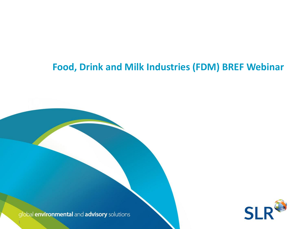#### **Food, Drink and Milk Industries (FDM) BREF Webinar**

**Technical Director – SLR Consulting**

Paul Wright has over 9 year's continuous experience as an environmental Regulator with Natural Resources Wales and its predecessor bodies. For the last 6 years, prior to joining SLR in September 2018, he held the role of Industry Regulation Team and Team and Team and Team and Team and Team and Leader for North and Mid Wales

global environmental and advisory solutions

1

1

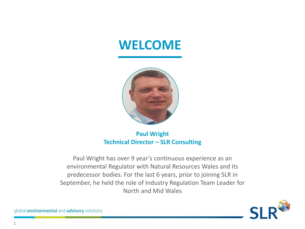## **WELCOME**



#### **Paul Wright Technical Director – SLR Consulting**

Paul Wright has over 9 year's continuous experience as an environmental Regulator with Natural Resources Wales and its predecessor bodies. For the last 6 years, prior to joining SLR in September, he held the role of Industry Regulation Team Leader for North and Mid Wales

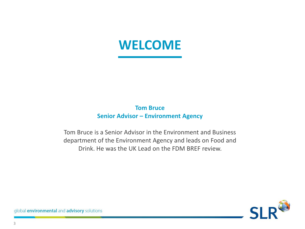## **WELCOME**

#### **Tom Bruce Senior Advisor – Environment Agency**

Tom Bruce is a Senior Advisor in the Environment and Business department of the Environment Agency and leads on Food and Drink. He was the UK Lead on the FDM BREF review.

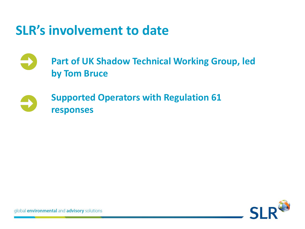## **SLR's involvement to date**

**Part of UK Shadow Technical Working Group, led by Tom Bruce**

#### **Supported Operators with Regulation 61 responses**

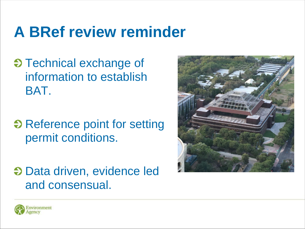# **A BRef review reminder**

- $\Theta$  Technical exchange of information to establish BAT.
- $\Theta$  Reference point for setting permit conditions.
- $\Theta$  Data driven, evidence led and consensual.



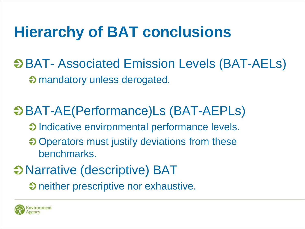# **Hierarchy of BAT conclusions**

 $\Theta$  **BAT- Associated Emission Levels (BAT-AELs)** mandatory unless derogated.

## BAT-AE(Performance)Ls (BAT-AEPLs)

- $\Theta$  Indicative environmental performance levels.
- $\bullet$  Operators must justify deviations from these benchmarks.

## Narrative (descriptive) BAT

 $\Theta$  neither prescriptive nor exhaustive.

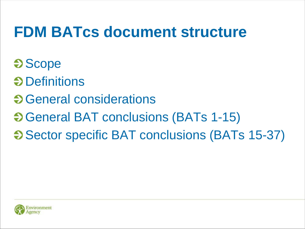# **FDM BATcs document structure**

- **Scope**
- **O** Definitions
- **S** General considerations
- General BAT conclusions (BATs 1-15)
- **Sector specific BAT conclusions (BATs 15-37)**

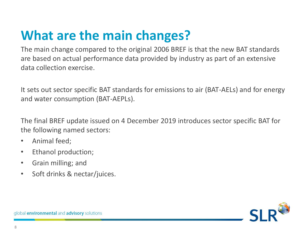## **What are the main changes?**

The main change compared to the original 2006 BREF is that the new BAT standards are based on actual performance data provided by industry as part of an extensive data collection exercise.

It sets out sector specific BAT standards for emissions to air (BAT-AELs) and for energy and water consumption (BAT-AEPLs).

The final BREF update issued on 4 December 2019 introduces sector specific BAT for the following named sectors:

- Animal feed;
- Ethanol production;
- Grain milling; and
- Soft drinks & nectar/juices.

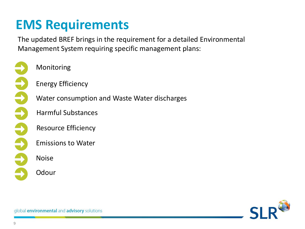## **EMS Requirements**

The updated BREF brings in the requirement for a detailed Environmental Management System requiring specific management plans:

999999

Monitoring

Energy Efficiency

Water consumption and Waste Water discharges

Harmful Substances

Resource Efficiency

Emissions to Water

Noise

**Odour** 

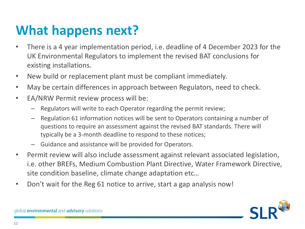## **What happens next?**

- There is a 4 year implementation period, i.e. deadline of 4 December 2023 for the UK Environmental Regulators to implement the revised BAT conclusions for existing installations.
- New build or replacement plant must be compliant immediately.
- May be certain differences in approach between Regulators, need to check.
- EA/NRW Permit review process will be:
	- Regulators will write to each Operator regarding the permit review;
	- Regulation 61 information notices will be sent to Operators containing a number of questions to require an assessment against the revised BAT standards. There will typically be a 3-month deadline to respond to these notices;
	- Guidance and assistance will be provided for Operators.
- Permit review will also include assessment against relevant associated legislation, i.e. other BREFs, Medium Combustion Plant Directive, Water Framework Directive, site condition baseline, climate change adaptation etc…
- Don't wait for the Reg 61 notice to arrive, start a gap analysis now!

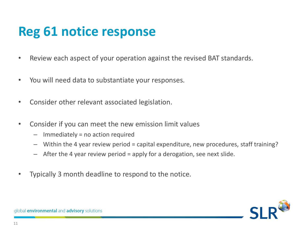## **Reg 61 notice response**

- Review each aspect of your operation against the revised BAT standards.
- You will need data to substantiate your responses.
- Consider other relevant associated legislation.
- Consider if you can meet the new emission limit values
	- **Codour Exercise Monetain Constrainers Permitted Permitted Permitted Permitted Permitted Permitted Permitted Permitted Permitted Permitted Permitted Permitted Permitted Permitted Permitted P**
	- Within the 4 year review period = capital expenditure, new procedures, staff training?
	- $\sim$ Plants  $\sim$  dorogat - After the 4 year review period = apply for a derogation, see next slide.  $\mathbf{b}$  $\mathsf{u}\in\mathsf{L}$
- Typically 3 month deadline to respond to the notice.

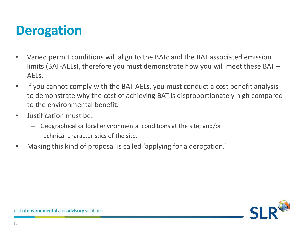## **Derogation**

- Varied permit conditions will align to the BATc and the BAT associated emission limits (BAT-AELs), therefore you must demonstrate how you will meet these BAT – AELs.
- If you cannot comply with the BAT-AELs, you must conduct a cost benefit analysis to demonstrate why the cost of achieving BAT is disproportionately high compared to the environmental benefit.
- Justification must be:
	- Geographical or local environmental conditions at the site; and/or
	- Technical characteristics of the site.
- Making this kind of proposal is called 'applying for a derogation.'

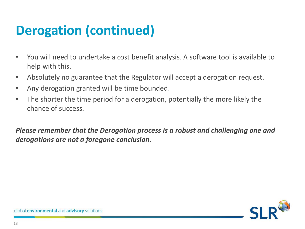## **Derogation (continued)**

- You will need to undertake a cost benefit analysis. A software tool is available to help with this.
- Absolutely no guarantee that the Regulator will accept a derogation request.
- Any derogation granted will be time bounded.
- The shorter the time period for a derogation, potentially the more likely the chance of success.

*Please remember that the Derogation process is a robust and challenging one and derogations are not a foregone conclusion.*

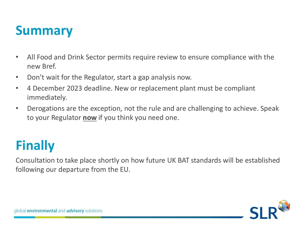## **Summary**

- All Food and Drink Sector permits require review to ensure compliance with the new Bref.
- Don't wait for the Regulator, start a gap analysis now.
- 4 December 2023 deadline. New or replacement plant must be compliant immediately.
- Derogations are the exception, not the rule and are challenging to achieve. Speak to your Regulator **now** if you think you need one.

## **Finally**

Consultation to take place shortly on how future UK BAT standards will be established following our departure from the EU.